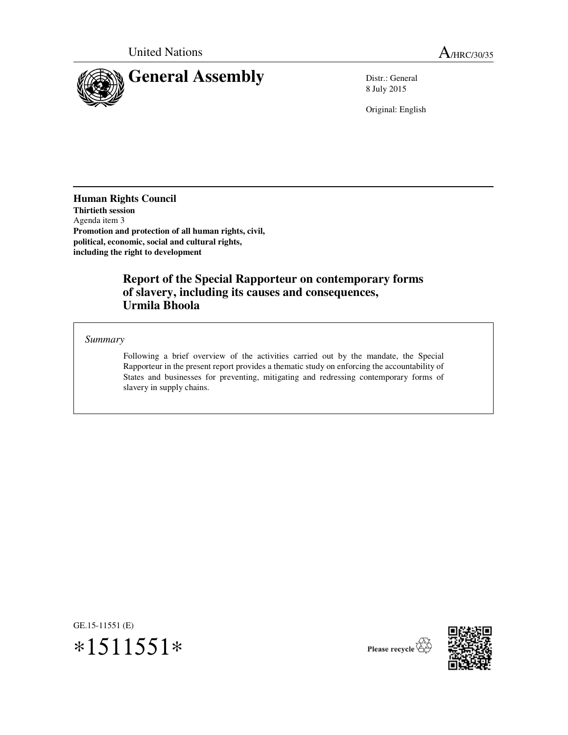

8 July 2015

Original: English

**Human Rights Council Thirtieth session** Agenda item 3 **Promotion and protection of all human rights, civil, political, economic, social and cultural rights, including the right to development** 

## **Report of the Special Rapporteur on contemporary forms of slavery, including its causes and consequences, Urmila Bhoola**

*Summary* 

 Following a brief overview of the activities carried out by the mandate, the Special Rapporteur in the present report provides a thematic study on enforcing the accountability of States and businesses for preventing, mitigating and redressing contemporary forms of slavery in supply chains.

GE.15-11551 (E)





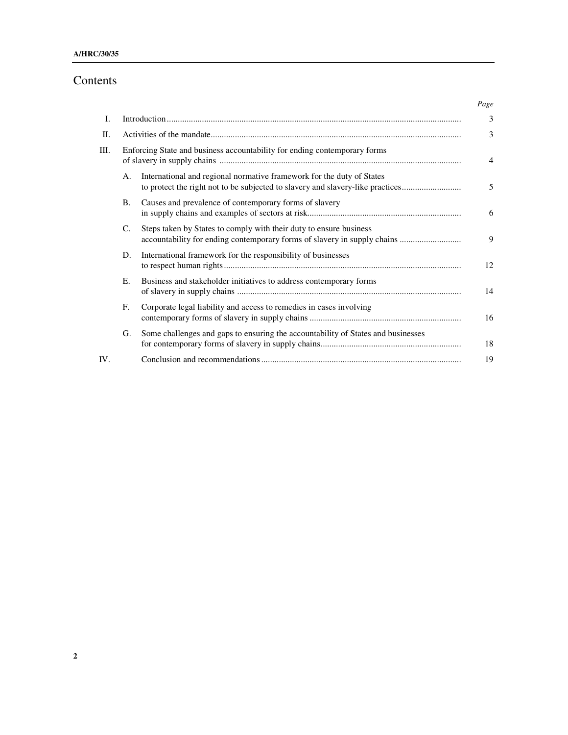# Contents

|     |                                                                           |                                                                                                                                                         | Page           |
|-----|---------------------------------------------------------------------------|---------------------------------------------------------------------------------------------------------------------------------------------------------|----------------|
| I.  |                                                                           |                                                                                                                                                         | 3              |
| П.  |                                                                           |                                                                                                                                                         | 3              |
| Ш.  | Enforcing State and business accountability for ending contemporary forms |                                                                                                                                                         | $\overline{4}$ |
|     | А.                                                                        | International and regional normative framework for the duty of States<br>to protect the right not to be subjected to slavery and slavery-like practices | 5              |
|     | <b>B.</b>                                                                 | Causes and prevalence of contemporary forms of slavery                                                                                                  | 6              |
|     | C.                                                                        | Steps taken by States to comply with their duty to ensure business<br>accountability for ending contemporary forms of slavery in supply chains          | 9              |
|     | D.                                                                        | International framework for the responsibility of businesses                                                                                            | 12             |
|     | E.                                                                        | Business and stakeholder initiatives to address contemporary forms                                                                                      | 14             |
|     | F.                                                                        | Corporate legal liability and access to remedies in cases involving                                                                                     | 16             |
|     | G.                                                                        | Some challenges and gaps to ensuring the accountability of States and businesses                                                                        | 18             |
| IV. |                                                                           |                                                                                                                                                         | 19             |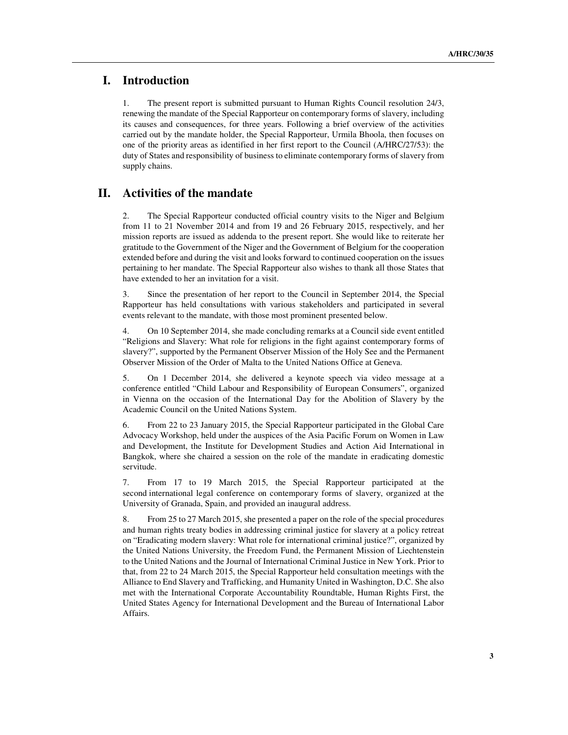### **I. Introduction**

1. The present report is submitted pursuant to Human Rights Council resolution 24/3, renewing the mandate of the Special Rapporteur on contemporary forms of slavery, including its causes and consequences, for three years. Following a brief overview of the activities carried out by the mandate holder, the Special Rapporteur, Urmila Bhoola, then focuses on one of the priority areas as identified in her first report to the Council (A/HRC/27/53): the duty of States and responsibility of business to eliminate contemporary forms of slavery from supply chains.

#### **II. Activities of the mandate**

2. The Special Rapporteur conducted official country visits to the Niger and Belgium from 11 to 21 November 2014 and from 19 and 26 February 2015, respectively, and her mission reports are issued as addenda to the present report. She would like to reiterate her gratitude to the Government of the Niger and the Government of Belgium for the cooperation extended before and during the visit and looks forward to continued cooperation on the issues pertaining to her mandate. The Special Rapporteur also wishes to thank all those States that have extended to her an invitation for a visit.

3. Since the presentation of her report to the Council in September 2014, the Special Rapporteur has held consultations with various stakeholders and participated in several events relevant to the mandate, with those most prominent presented below.

4. On 10 September 2014, she made concluding remarks at a Council side event entitled "Religions and Slavery: What role for religions in the fight against contemporary forms of slavery?", supported by the Permanent Observer Mission of the Holy See and the Permanent Observer Mission of the Order of Malta to the United Nations Office at Geneva.

5. On 1 December 2014, she delivered a keynote speech via video message at a conference entitled "Child Labour and Responsibility of European Consumers", organized in Vienna on the occasion of the International Day for the Abolition of Slavery by the Academic Council on the United Nations System.

6. From 22 to 23 January 2015, the Special Rapporteur participated in the Global Care Advocacy Workshop, held under the auspices of the Asia Pacific Forum on Women in Law and Development, the Institute for Development Studies and Action Aid International in Bangkok, where she chaired a session on the role of the mandate in eradicating domestic servitude.

7. From 17 to 19 March 2015, the Special Rapporteur participated at the second international legal conference on contemporary forms of slavery, organized at the University of Granada, Spain, and provided an inaugural address.

8. From 25 to 27 March 2015, she presented a paper on the role of the special procedures and human rights treaty bodies in addressing criminal justice for slavery at a policy retreat on "Eradicating modern slavery: What role for international criminal justice?", organized by the United Nations University, the Freedom Fund, the Permanent Mission of Liechtenstein to the United Nations and the Journal of International Criminal Justice in New York. Prior to that, from 22 to 24 March 2015, the Special Rapporteur held consultation meetings with the Alliance to End Slavery and Trafficking, and Humanity United in Washington, D.C. She also met with the International Corporate Accountability Roundtable, Human Rights First, the United States Agency for International Development and the Bureau of International Labor Affairs.